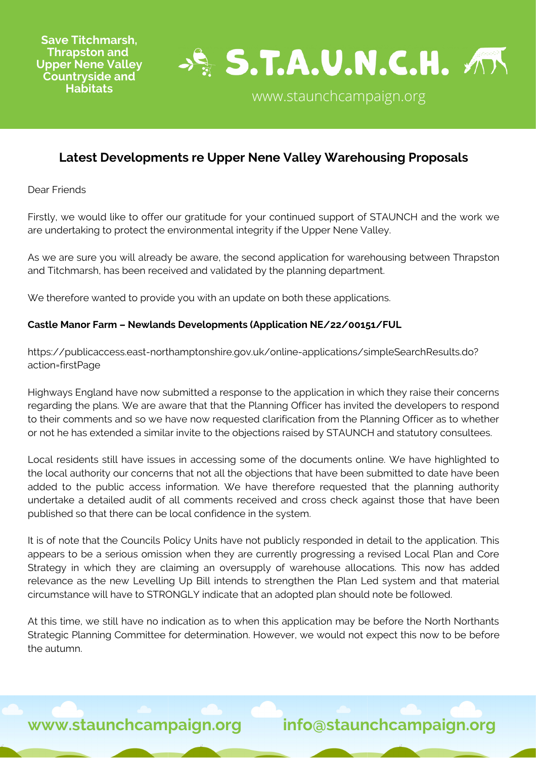

# **Latest Developments re Upper Nene Valley Warehousing Proposals**

Dear Friends

Firstly, we would like to offer our gratitude for your continued support of STAUNCH and the work we are undertaking to protect the environmental integrity if the Upper Nene Valley.

As we are sure you will already be aware, the second application for warehousing between Thrapston and Titchmarsh, has been received and validated by the planning department.

We therefore wanted to provide you with an update on both these applications.

### **Castle Manor Farm – Newlands Developments (Application NE/22/00151/FUL**

[https://publicaccess.east-northamptonshire.gov.uk/online-applications/simpleSearchResults.do?](https://publicaccess.east-northamptonshire.gov.uk/online-applications/simpleSearchResults.do?action=firstPage) action=firstPage

Highways England have now submitted a response to the application in which they raise their concerns regarding the plans. We are aware that that the Planning Officer has invited the developers to respond to their comments and so we have now requested clarification from the Planning Officer as to whether or not he has extended a similar invite to the objections raised by STAUNCH and statutory consultees.

Local residents still have issues in accessing some of the documents online. We have highlighted to the local authority our concerns that not all the objections that have been submitted to date have been added to the public access information. We have therefore requested that the planning authority undertake a detailed audit of all comments received and cross check against those that have been published so that there can be local confidence in the system.

It is of note that the Councils Policy Units have not publicly responded in detail to the application. This appears to be a serious omission when they are currently progressing a revised Local Plan and Core Strategy in which they are claiming an oversupply of warehouse allocations. This now has added relevance as the new Levelling Up Bill intends to strengthen the Plan Led system and that material circumstance will have to STRONGLY indicate that an adopted plan should note be followed.

At this time, we still have no indication as to when this application may be before the North Northants Strategic Planning Committee for determination. However, we would not expect this now to be before the autumn.

**www.staunchcampaign.org info@staunchcampaign.org**